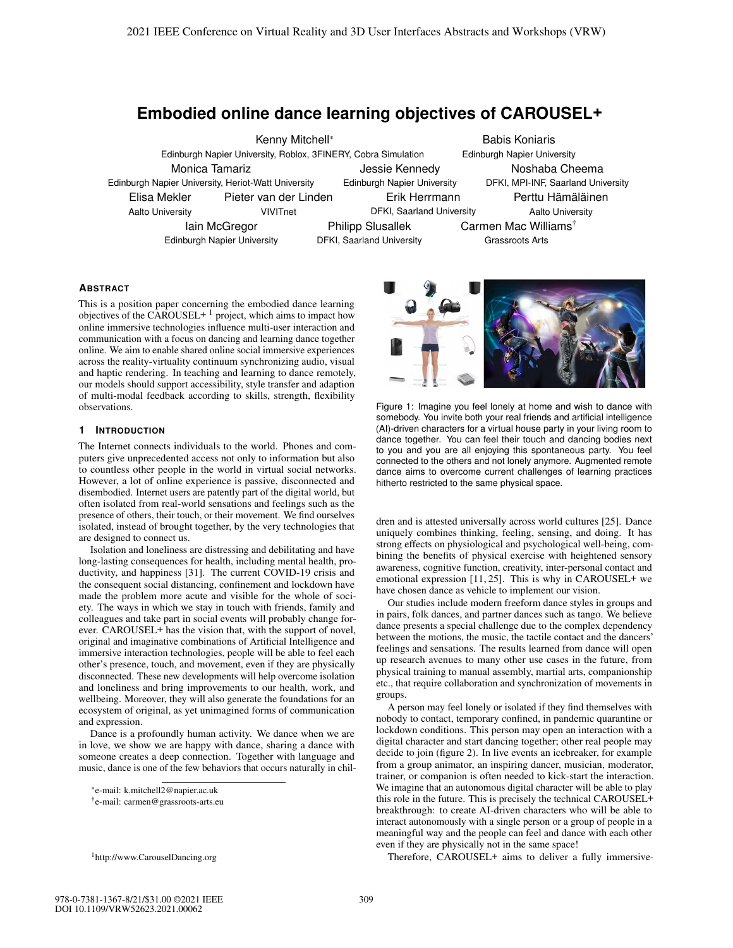# **Embodied online dance learning objectives of CAROUSEL+**

Kenny Mitchell\* Edinburgh Napier University, Roblox, 3FINERY, Cobra Simulation Babis Koniaris Edinburgh Napier University Monica Tamariz Edinburgh Napier University, Heriot-Watt University Jessie Kennedy Edinburgh Napier University Noshaba Cheema DFKI, MPI-INF, Saarland University Elisa Mekler Aalto University Pieter van der Linden VIVITnet Erik Herrmann DFKI, Saarland University Perttu Hämäläinen Aalto University Iain McGregor Edinburgh Napier University Philipp Slusallek DFKI, Saarland University Carmen Mac Williams† Grassroots Arts

## **ABSTRACT**

This is a position paper concerning the embodied dance learning objectives of the CAROUSEL+  $1$  project, which aims to impact how online immersive technologies influence multi-user interaction and communication with a focus on dancing and learning dance together online. We aim to enable shared online social immersive experiences across the reality-virtuality continuum synchronizing audio, visual and haptic rendering. In teaching and learning to dance remotely, our models should support accessibility, style transfer and adaption of multi-modal feedback according to skills, strength, flexibility observations.

## **1 INTRODUCTION**

The Internet connects individuals to the world. Phones and computers give unprecedented access not only to information but also to countless other people in the world in virtual social networks. However, a lot of online experience is passive, disconnected and disembodied. Internet users are patently part of the digital world, but often isolated from real-world sensations and feelings such as the presence of others, their touch, or their movement. We find ourselves isolated, instead of brought together, by the very technologies that are designed to connect us.

Isolation and loneliness are distressing and debilitating and have long-lasting consequences for health, including mental health, productivity, and happiness [31]. The current COVID-19 crisis and the consequent social distancing, confinement and lockdown have made the problem more acute and visible for the whole of society. The ways in which we stay in touch with friends, family and colleagues and take part in social events will probably change forever. CAROUSEL+ has the vision that, with the support of novel, original and imaginative combinations of Artificial Intelligence and immersive interaction technologies, people will be able to feel each other's presence, touch, and movement, even if they are physically disconnected. These new developments will help overcome isolation and loneliness and bring improvements to our health, work, and wellbeing. Moreover, they will also generate the foundations for an ecosystem of original, as yet unimagined forms of communication and expression.

Dance is a profoundly human activity. We dance when we are in love, we show we are happy with dance, sharing a dance with someone creates a deep connection. Together with language and music, dance is one of the few behaviors that occurs naturally in chil-



Figure 1: Imagine you feel lonely at home and wish to dance with somebody. You invite both your real friends and artificial intelligence (AI)-driven characters for a virtual house party in your living room to dance together. You can feel their touch and dancing bodies next to you and you are all enjoying this spontaneous party. You feel connected to the others and not lonely anymore. Augmented remote dance aims to overcome current challenges of learning practices hitherto restricted to the same physical space.

dren and is attested universally across world cultures [25]. Dance uniquely combines thinking, feeling, sensing, and doing. It has strong effects on physiological and psychological well-being, combining the benefits of physical exercise with heightened sensory awareness, cognitive function, creativity, inter-personal contact and emotional expression [11, 25]. This is why in CAROUSEL+ we have chosen dance as vehicle to implement our vision.

Our studies include modern freeform dance styles in groups and in pairs, folk dances, and partner dances such as tango. We believe dance presents a special challenge due to the complex dependency between the motions, the music, the tactile contact and the dancers' feelings and sensations. The results learned from dance will open up research avenues to many other use cases in the future, from physical training to manual assembly, martial arts, companionship etc., that require collaboration and synchronization of movements in groups.

A person may feel lonely or isolated if they find themselves with nobody to contact, temporary confined, in pandemic quarantine or lockdown conditions. This person may open an interaction with a digital character and start dancing together; other real people may decide to join (figure 2). In live events an icebreaker, for example from a group animator, an inspiring dancer, musician, moderator, trainer, or companion is often needed to kick-start the interaction. We imagine that an autonomous digital character will be able to play this role in the future. This is precisely the technical CAROUSEL+ breakthrough: to create AI-driven characters who will be able to interact autonomously with a single person or a group of people in a meaningful way and the people can feel and dance with each other even if they are physically not in the same space!

Therefore, CAROUSEL+ aims to deliver a fully immersive-

<sup>\*</sup>e-mail: k.mitchell2@napier.ac.uk

<sup>†</sup>e-mail: carmen@grassroots-arts.eu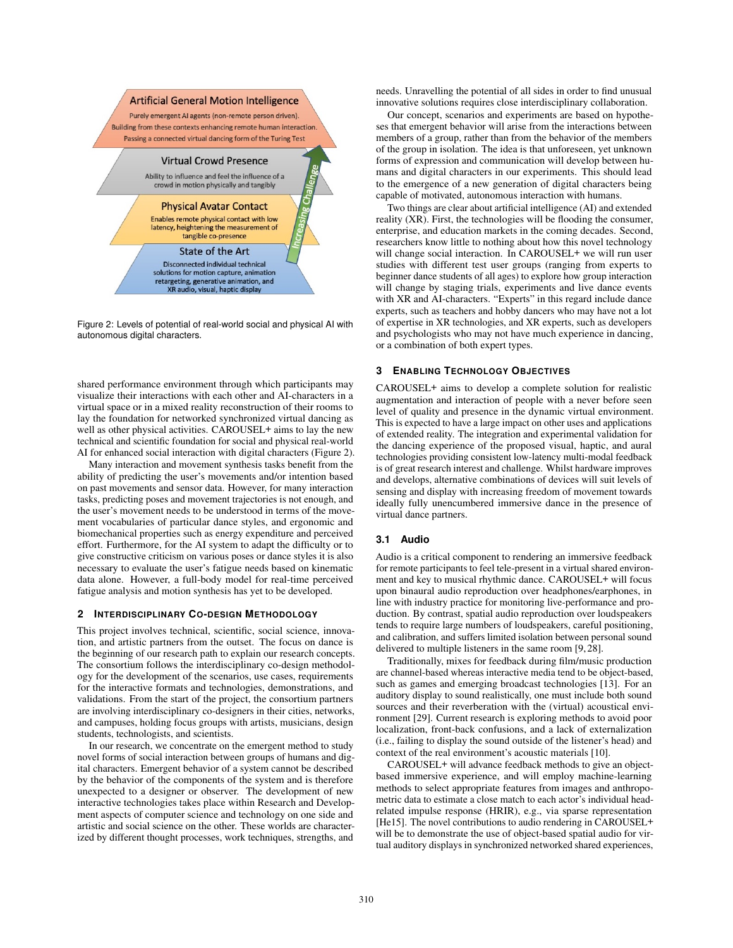

Figure 2: Levels of potential of real-world social and physical AI with autonomous digital characters.

shared performance environment through which participants may visualize their interactions with each other and AI-characters in a virtual space or in a mixed reality reconstruction of their rooms to lay the foundation for networked synchronized virtual dancing as well as other physical activities. CAROUSEL+ aims to lay the new technical and scientific foundation for social and physical real-world AI for enhanced social interaction with digital characters (Figure 2).

Many interaction and movement synthesis tasks benefit from the ability of predicting the user's movements and/or intention based on past movements and sensor data. However, for many interaction tasks, predicting poses and movement trajectories is not enough, and the user's movement needs to be understood in terms of the movement vocabularies of particular dance styles, and ergonomic and biomechanical properties such as energy expenditure and perceived effort. Furthermore, for the AI system to adapt the difficulty or to give constructive criticism on various poses or dance styles it is also necessary to evaluate the user's fatigue needs based on kinematic data alone. However, a full-body model for real-time perceived fatigue analysis and motion synthesis has yet to be developed.

## **2 INTERDISCIPLINARY CO-DESIGN METHODOLOGY**

This project involves technical, scientific, social science, innovation, and artistic partners from the outset. The focus on dance is the beginning of our research path to explain our research concepts. The consortium follows the interdisciplinary co-design methodology for the development of the scenarios, use cases, requirements for the interactive formats and technologies, demonstrations, and validations. From the start of the project, the consortium partners are involving interdisciplinary co-designers in their cities, networks, and campuses, holding focus groups with artists, musicians, design students, technologists, and scientists.

In our research, we concentrate on the emergent method to study novel forms of social interaction between groups of humans and digital characters. Emergent behavior of a system cannot be described by the behavior of the components of the system and is therefore unexpected to a designer or observer. The development of new interactive technologies takes place within Research and Development aspects of computer science and technology on one side and artistic and social science on the other. These worlds are characterized by different thought processes, work techniques, strengths, and

needs. Unravelling the potential of all sides in order to find unusual innovative solutions requires close interdisciplinary collaboration.

Our concept, scenarios and experiments are based on hypotheses that emergent behavior will arise from the interactions between members of a group, rather than from the behavior of the members of the group in isolation. The idea is that unforeseen, yet unknown forms of expression and communication will develop between humans and digital characters in our experiments. This should lead to the emergence of a new generation of digital characters being capable of motivated, autonomous interaction with humans.

Two things are clear about artificial intelligence (AI) and extended reality (XR). First, the technologies will be flooding the consumer, enterprise, and education markets in the coming decades. Second, researchers know little to nothing about how this novel technology will change social interaction. In CAROUSEL+ we will run user studies with different test user groups (ranging from experts to beginner dance students of all ages) to explore how group interaction will change by staging trials, experiments and live dance events with XR and AI-characters. "Experts" in this regard include dance experts, such as teachers and hobby dancers who may have not a lot of expertise in XR technologies, and XR experts, such as developers and psychologists who may not have much experience in dancing, or a combination of both expert types.

## **3 ENABLING TECHNOLOGY OBJECTIVES**

CAROUSEL+ aims to develop a complete solution for realistic augmentation and interaction of people with a never before seen level of quality and presence in the dynamic virtual environment. This is expected to have a large impact on other uses and applications of extended reality. The integration and experimental validation for the dancing experience of the proposed visual, haptic, and aural technologies providing consistent low-latency multi-modal feedback is of great research interest and challenge. Whilst hardware improves and develops, alternative combinations of devices will suit levels of sensing and display with increasing freedom of movement towards ideally fully unencumbered immersive dance in the presence of virtual dance partners.

## **3.1 Audio**

Audio is a critical component to rendering an immersive feedback for remote participants to feel tele-present in a virtual shared environment and key to musical rhythmic dance. CAROUSEL+ will focus upon binaural audio reproduction over headphones/earphones, in line with industry practice for monitoring live-performance and production. By contrast, spatial audio reproduction over loudspeakers tends to require large numbers of loudspeakers, careful positioning, and calibration, and suffers limited isolation between personal sound delivered to multiple listeners in the same room [9, 28].

Traditionally, mixes for feedback during film/music production are channel-based whereas interactive media tend to be object-based, such as games and emerging broadcast technologies [13]. For an auditory display to sound realistically, one must include both sound sources and their reverberation with the (virtual) acoustical environment [29]. Current research is exploring methods to avoid poor localization, front-back confusions, and a lack of externalization (i.e., failing to display the sound outside of the listener's head) and context of the real environment's acoustic materials [10].

CAROUSEL+ will advance feedback methods to give an objectbased immersive experience, and will employ machine-learning methods to select appropriate features from images and anthropometric data to estimate a close match to each actor's individual headrelated impulse response (HRIR), e.g., via sparse representation [He15]. The novel contributions to audio rendering in CAROUSEL+ will be to demonstrate the use of object-based spatial audio for virtual auditory displays in synchronized networked shared experiences,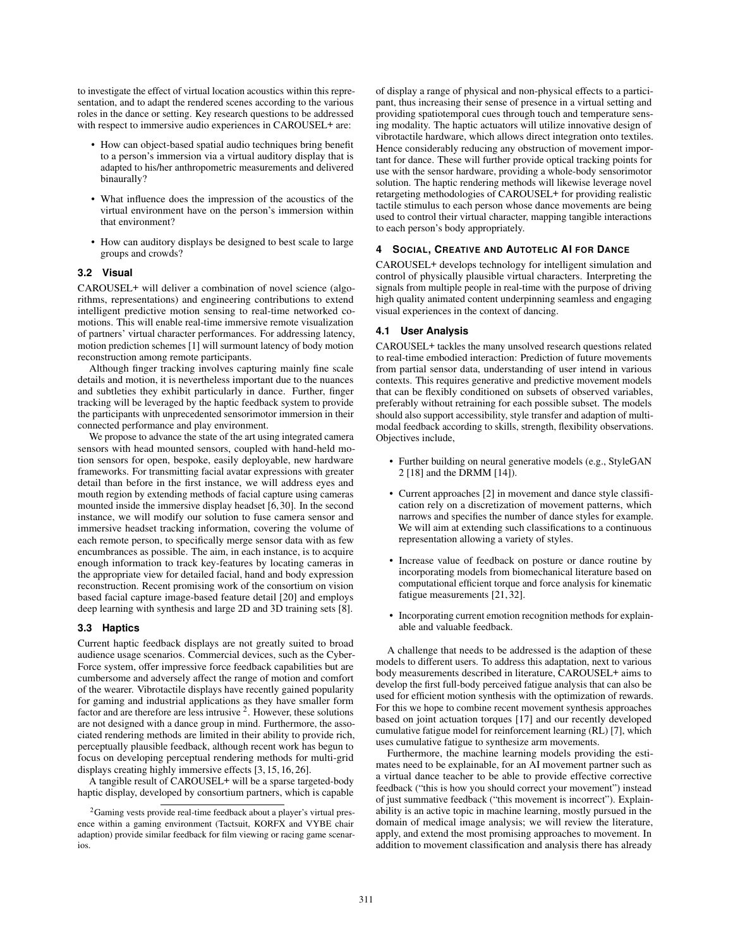to investigate the effect of virtual location acoustics within this representation, and to adapt the rendered scenes according to the various roles in the dance or setting. Key research questions to be addressed with respect to immersive audio experiences in CAROUSEL+ are:

- How can object-based spatial audio techniques bring benefit to a person's immersion via a virtual auditory display that is adapted to his/her anthropometric measurements and delivered binaurally?
- What influence does the impression of the acoustics of the virtual environment have on the person's immersion within that environment?
- How can auditory displays be designed to best scale to large groups and crowds?

## **3.2 Visual**

CAROUSEL+ will deliver a combination of novel science (algorithms, representations) and engineering contributions to extend intelligent predictive motion sensing to real-time networked comotions. This will enable real-time immersive remote visualization of partners' virtual character performances. For addressing latency, motion prediction schemes [1] will surmount latency of body motion reconstruction among remote participants.

Although finger tracking involves capturing mainly fine scale details and motion, it is nevertheless important due to the nuances and subtleties they exhibit particularly in dance. Further, finger tracking will be leveraged by the haptic feedback system to provide the participants with unprecedented sensorimotor immersion in their connected performance and play environment.

We propose to advance the state of the art using integrated camera sensors with head mounted sensors, coupled with hand-held motion sensors for open, bespoke, easily deployable, new hardware frameworks. For transmitting facial avatar expressions with greater detail than before in the first instance, we will address eyes and mouth region by extending methods of facial capture using cameras mounted inside the immersive display headset [6, 30]. In the second instance, we will modify our solution to fuse camera sensor and immersive headset tracking information, covering the volume of each remote person, to specifically merge sensor data with as few encumbrances as possible. The aim, in each instance, is to acquire enough information to track key-features by locating cameras in the appropriate view for detailed facial, hand and body expression reconstruction. Recent promising work of the consortium on vision based facial capture image-based feature detail [20] and employs deep learning with synthesis and large 2D and 3D training sets [8].

## **3.3 Haptics**

Current haptic feedback displays are not greatly suited to broad audience usage scenarios. Commercial devices, such as the Cyber-Force system, offer impressive force feedback capabilities but are cumbersome and adversely affect the range of motion and comfort of the wearer. Vibrotactile displays have recently gained popularity for gaming and industrial applications as they have smaller form factor and are therefore are less intrusive 2. However, these solutions are not designed with a dance group in mind. Furthermore, the associated rendering methods are limited in their ability to provide rich, perceptually plausible feedback, although recent work has begun to focus on developing perceptual rendering methods for multi-grid displays creating highly immersive effects [3, 15, 16, 26].

A tangible result of CAROUSEL+ will be a sparse targeted-body haptic display, developed by consortium partners, which is capable of display a range of physical and non-physical effects to a participant, thus increasing their sense of presence in a virtual setting and providing spatiotemporal cues through touch and temperature sensing modality. The haptic actuators will utilize innovative design of vibrotactile hardware, which allows direct integration onto textiles. Hence considerably reducing any obstruction of movement important for dance. These will further provide optical tracking points for use with the sensor hardware, providing a whole-body sensorimotor solution. The haptic rendering methods will likewise leverage novel retargeting methodologies of CAROUSEL+ for providing realistic tactile stimulus to each person whose dance movements are being used to control their virtual character, mapping tangible interactions to each person's body appropriately.

## **4 SOCIAL, CREATIVE AND AUTOTELIC AI FOR DANCE**

CAROUSEL+ develops technology for intelligent simulation and control of physically plausible virtual characters. Interpreting the signals from multiple people in real-time with the purpose of driving high quality animated content underpinning seamless and engaging visual experiences in the context of dancing.

#### **4.1 User Analysis**

CAROUSEL+ tackles the many unsolved research questions related to real-time embodied interaction: Prediction of future movements from partial sensor data, understanding of user intend in various contexts. This requires generative and predictive movement models that can be flexibly conditioned on subsets of observed variables, preferably without retraining for each possible subset. The models should also support accessibility, style transfer and adaption of multimodal feedback according to skills, strength, flexibility observations. Objectives include,

- Further building on neural generative models (e.g., StyleGAN 2 [18] and the DRMM [14]).
- Current approaches [2] in movement and dance style classification rely on a discretization of movement patterns, which narrows and specifies the number of dance styles for example. We will aim at extending such classifications to a continuous representation allowing a variety of styles.
- Increase value of feedback on posture or dance routine by incorporating models from biomechanical literature based on computational efficient torque and force analysis for kinematic fatigue measurements [21, 32].
- Incorporating current emotion recognition methods for explainable and valuable feedback.

A challenge that needs to be addressed is the adaption of these models to different users. To address this adaptation, next to various body measurements described in literature, CAROUSEL+ aims to develop the first full-body perceived fatigue analysis that can also be used for efficient motion synthesis with the optimization of rewards. For this we hope to combine recent movement synthesis approaches based on joint actuation torques [17] and our recently developed cumulative fatigue model for reinforcement learning (RL) [7], which uses cumulative fatigue to synthesize arm movements.

Furthermore, the machine learning models providing the estimates need to be explainable, for an AI movement partner such as a virtual dance teacher to be able to provide effective corrective feedback ("this is how you should correct your movement") instead of just summative feedback ("this movement is incorrect"). Explainability is an active topic in machine learning, mostly pursued in the domain of medical image analysis; we will review the literature, apply, and extend the most promising approaches to movement. In addition to movement classification and analysis there has already

<sup>&</sup>lt;sup>2</sup>Gaming vests provide real-time feedback about a player's virtual presence within a gaming environment (Tactsuit, KORFX and VYBE chair adaption) provide similar feedback for film viewing or racing game scenarios.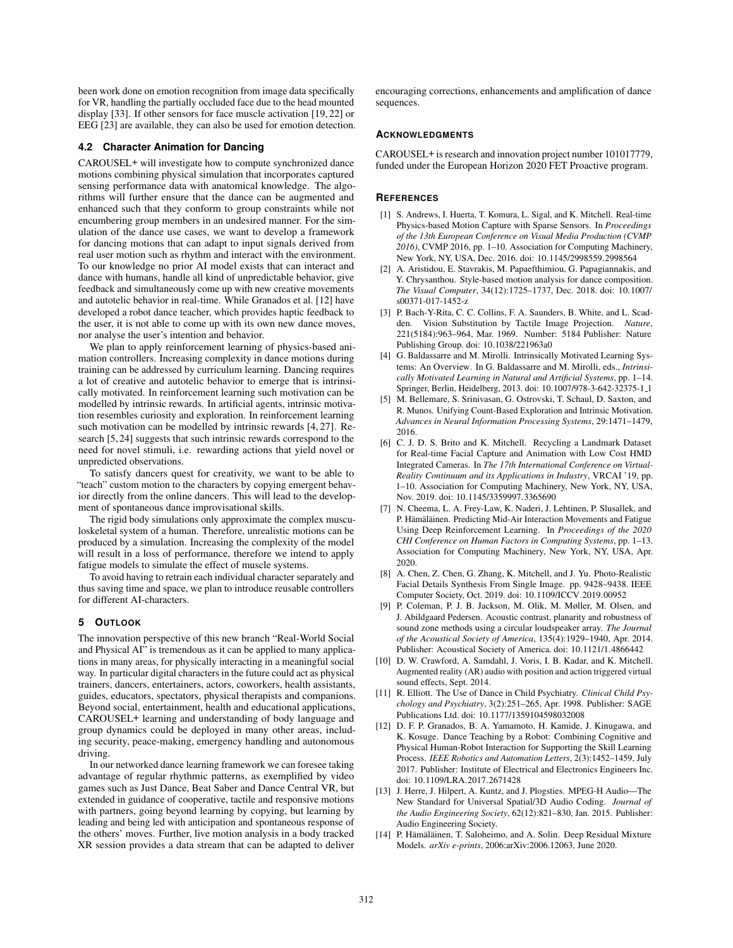been work done on emotion recognition from image data specifically for VR, handling the partially occluded face due to the head mounted display [33]. If other sensors for face muscle activation [19, 22] or EEG [23] are available, they can also be used for emotion detection.

#### **4.2 Character Animation for Dancing**

CAROUSEL+ will investigate how to compute synchronized dance motions combining physical simulation that incorporates captured sensing performance data with anatomical knowledge. The algorithms will further ensure that the dance can be augmented and enhanced such that they conform to group constraints while not encumbering group members in an undesired manner. For the simulation of the dance use cases, we want to develop a framework for dancing motions that can adapt to input signals derived from real user motion such as rhythm and interact with the environment. To our knowledge no prior AI model exists that can interact and dance with humans, handle all kind of unpredictable behavior, give feedback and simultaneously come up with new creative movements and autotelic behavior in real-time. While Granados et al. [12] have developed a robot dance teacher, which provides haptic feedback to the user, it is not able to come up with its own new dance moves, nor analyse the user's intention and behavior.

We plan to apply reinforcement learning of physics-based animation controllers. Increasing complexity in dance motions during training can be addressed by curriculum learning. Dancing requires a lot of creative and autotelic behavior to emerge that is intrinsically motivated. In reinforcement learning such motivation can be modelled by intrinsic rewards. In artificial agents, intrinsic motivation resembles curiosity and exploration. In reinforcement learning such motivation can be modelled by intrinsic rewards [4, 27]. Research [5, 24] suggests that such intrinsic rewards correspond to the need for novel stimuli, i.e. rewarding actions that yield novel or unpredicted observations.

To satisfy dancers quest for creativity, we want to be able to "teach" custom motion to the characters by copying emergent behavior directly from the online dancers. This will lead to the development of spontaneous dance improvisational skills.

The rigid body simulations only approximate the complex musculoskeletal system of a human. Therefore, unrealistic motions can be produced by a simulation. Increasing the complexity of the model will result in a loss of performance, therefore we intend to apply fatigue models to simulate the effect of muscle systems.

To avoid having to retrain each individual character separately and thus saving time and space, we plan to introduce reusable controllers for different AI-characters.

#### **5 OUTLOOK**

The innovation perspective of this new branch "Real-World Social and Physical AI" is tremendous as it can be applied to many applications in many areas, for physically interacting in a meaningful social way. In particular digital characters in the future could act as physical trainers, dancers, entertainers, actors, coworkers, health assistants, guides, educators, spectators, physical therapists and companions. Beyond social, entertainment, health and educational applications, CAROUSEL+ learning and understanding of body language and group dynamics could be deployed in many other areas, including security, peace-making, emergency handling and autonomous driving.

In our networked dance learning framework we can foresee taking advantage of regular rhythmic patterns, as exemplified by video games such as Just Dance, Beat Saber and Dance Central VR, but extended in guidance of cooperative, tactile and responsive motions with partners, going beyond learning by copying, but learning by leading and being led with anticipation and spontaneous response of the others' moves. Further, live motion analysis in a body tracked XR session provides a data stream that can be adapted to deliver

encouraging corrections, enhancements and amplification of dance sequences.

#### **ACKNOWLEDGMENTS**

CAROUSEL+ is research and innovation project number 101017779, funded under the European Horizon 2020 FET Proactive program.

#### **REFERENCES**

- [1] S. Andrews, I. Huerta, T. Komura, L. Sigal, and K. Mitchell. Real-time Physics-based Motion Capture with Sparse Sensors. In *Proceedings of the 13th European Conference on Visual Media Production (CVMP 2016)*, CVMP 2016, pp. 1–10. Association for Computing Machinery, New York, NY, USA, Dec. 2016. doi: 10.1145/2998559.2998564
- [2] A. Aristidou, E. Stavrakis, M. Papaefthimiou, G. Papagiannakis, and Y. Chrysanthou. Style-based motion analysis for dance composition. *The Visual Computer*, 34(12):1725–1737, Dec. 2018. doi: 10.1007/ s00371-017-1452-z
- [3] P. Bach-Y-Rita, C. C. Collins, F. A. Saunders, B. White, and L. Scadden. Vision Substitution by Tactile Image Projection. *Nature*, 221(5184):963–964, Mar. 1969. Number: 5184 Publisher: Nature Publishing Group. doi: 10.1038/221963a0
- [4] G. Baldassarre and M. Mirolli. Intrinsically Motivated Learning Systems: An Overview. In G. Baldassarre and M. Mirolli, eds., *Intrinsically Motivated Learning in Natural and Artificial Systems*, pp. 1–14. Springer, Berlin, Heidelberg, 2013. doi: 10.1007/978-3-642-32375-1 1
- [5] M. Bellemare, S. Srinivasan, G. Ostrovski, T. Schaul, D. Saxton, and R. Munos. Unifying Count-Based Exploration and Intrinsic Motivation. *Advances in Neural Information Processing Systems*, 29:1471–1479, 2016.
- [6] C. J. D. S. Brito and K. Mitchell. Recycling a Landmark Dataset for Real-time Facial Capture and Animation with Low Cost HMD Integrated Cameras. In *The 17th International Conference on Virtual-Reality Continuum and its Applications in Industry*, VRCAI '19, pp. 1–10. Association for Computing Machinery, New York, NY, USA, Nov. 2019. doi: 10.1145/3359997.3365690
- [7] N. Cheema, L. A. Frey-Law, K. Naderi, J. Lehtinen, P. Slusallek, and P. Hämäläinen. Predicting Mid-Air Interaction Movements and Fatigue Using Deep Reinforcement Learning. In *Proceedings of the 2020 CHI Conference on Human Factors in Computing Systems*, pp. 1–13. Association for Computing Machinery, New York, NY, USA, Apr. 2020.
- [8] A. Chen, Z. Chen, G. Zhang, K. Mitchell, and J. Yu. Photo-Realistic Facial Details Synthesis From Single Image. pp. 9428–9438. IEEE Computer Society, Oct. 2019. doi: 10.1109/ICCV.2019.00952
- P. Coleman, P. J. B. Jackson, M. Olik, M. Møller, M. Olsen, and J. Abildgaard Pedersen. Acoustic contrast, planarity and robustness of sound zone methods using a circular loudspeaker array. *The Journal of the Acoustical Society of America*, 135(4):1929–1940, Apr. 2014. Publisher: Acoustical Society of America. doi: 10.1121/1.4866442
- [10] D. W. Crawford, A. Samdahl, J. Voris, I. B. Kadar, and K. Mitchell. Augmented reality (AR) audio with position and action triggered virtual sound effects, Sept. 2014.
- [11] R. Elliott. The Use of Dance in Child Psychiatry. *Clinical Child Psychology and Psychiatry*, 3(2):251–265, Apr. 1998. Publisher: SAGE Publications Ltd. doi: 10.1177/1359104598032008
- [12] D. F. P. Granados, B. A. Yamamoto, H. Kamide, J. Kinugawa, and K. Kosuge. Dance Teaching by a Robot: Combining Cognitive and Physical Human-Robot Interaction for Supporting the Skill Learning Process. *IEEE Robotics and Automation Letters*, 2(3):1452–1459, July 2017. Publisher: Institute of Electrical and Electronics Engineers Inc. doi: 10.1109/LRA.2017.2671428
- [13] J. Herre, J. Hilpert, A. Kuntz, and J. Plogsties. MPEG-H Audio—The New Standard for Universal Spatial/3D Audio Coding. *Journal of the Audio Engineering Society*, 62(12):821–830, Jan. 2015. Publisher: Audio Engineering Society.
- [14] P. Hämäläinen, T. Saloheimo, and A. Solin. Deep Residual Mixture Models. *arXiv e-prints*, 2006:arXiv:2006.12063, June 2020.